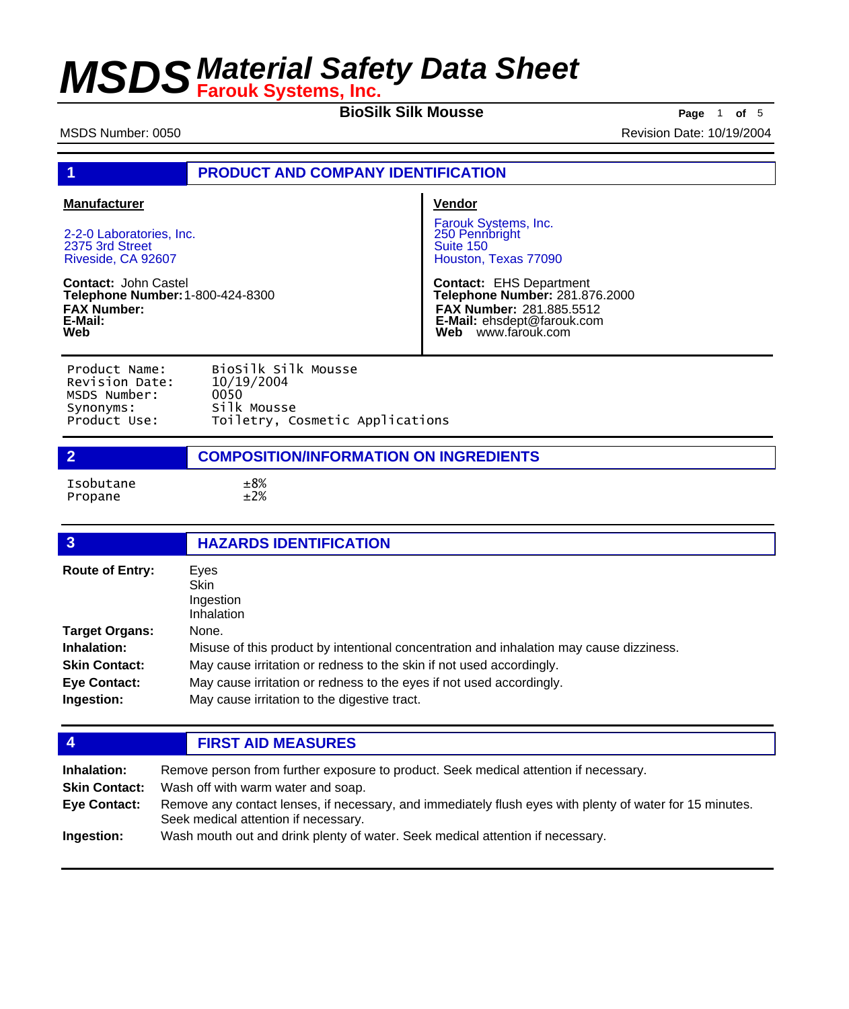**BioSilk Silk Mousse Page** <sup>1</sup> **of** <sup>5</sup>

MSDS Number: 0050 **Revision Date: 10/19/2004** Revision Date: 10/19/2004

## **1 PRODUCT AND COMPANY IDENTIFICATION**

### **Manufacturer**

2-2-0 Laboratories, Inc. 2375 3rd Street Riveside, CA 92607

**Contact:** John Castel **Telephone Number:** 1-800-424-8300 **FAX Number: E-Mail: Web**

### **Vendor**

Farouk Systems, Inc. 250 Pennbright Suite 150 Houston, Texas 77090

**Contact:** EHS Department **Telephone Number:** 281.876.2000 **FAX Number:** 281.885.5512 **E-Mail:** ehsdept@farouk.com **Web** www.farouk.com

| Product Name:  | BioSilk Silk Mousse             |
|----------------|---------------------------------|
| Revision Date: | 10/19/2004                      |
| MSDS Number:   | 0050                            |
| Synonyms:      | Silk Mousse                     |
| Product Use:   | Toiletry, Cosmetic Applications |

## **2 COMPOSITION/INFORMATION ON INGREDIENTS**

Isobutane ±8% Propane

| $\overline{3}$                    | <b>HAZARDS IDENTIFICATION</b>                                                                                        |  |
|-----------------------------------|----------------------------------------------------------------------------------------------------------------------|--|
| <b>Route of Entry:</b>            | Eyes<br><b>Skin</b><br>Ingestion<br><b>Inhalation</b>                                                                |  |
| <b>Target Organs:</b>             | None.                                                                                                                |  |
| Inhalation:                       | Misuse of this product by intentional concentration and inhalation may cause dizziness.                              |  |
| <b>Skin Contact:</b>              | May cause irritation or redness to the skin if not used accordingly.                                                 |  |
| <b>Eye Contact:</b><br>Ingestion: | May cause irritation or redness to the eyes if not used accordingly.<br>May cause irritation to the digestive tract. |  |

## **4 FIRST AID MEASURES**

| Inhalation:          | Remove person from further exposure to product. Seek medical attention if necessary.                                                             |  |  |
|----------------------|--------------------------------------------------------------------------------------------------------------------------------------------------|--|--|
| <b>Skin Contact:</b> | Wash off with warm water and soap.                                                                                                               |  |  |
| Eye Contact:         | Remove any contact lenses, if necessary, and immediately flush eyes with plenty of water for 15 minutes.<br>Seek medical attention if necessary. |  |  |
| Ingestion:           | Wash mouth out and drink plenty of water. Seek medical attention if necessary.                                                                   |  |  |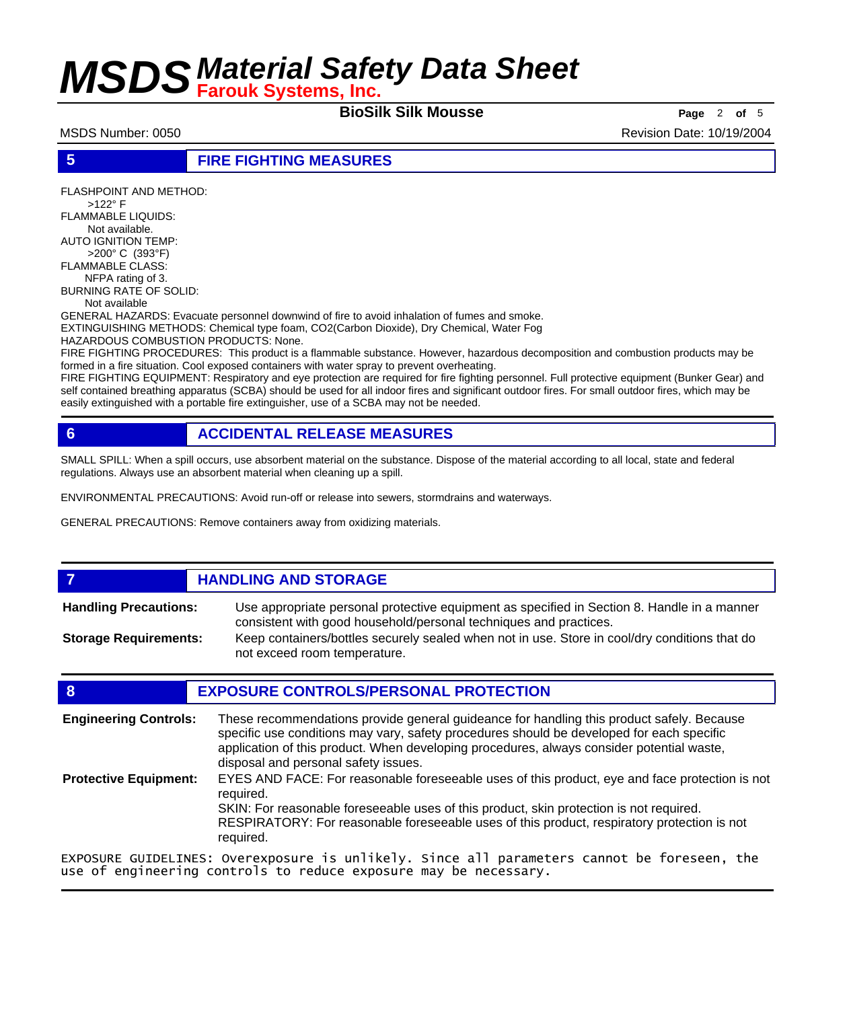**BioSilk Silk Mousse Page** <sup>2</sup> **of** <sup>5</sup>

MSDS Number: 0050 Revision Date: 10/19/2004

FLASHPOINT AND METHOD:

**5 FIRE FIGHTING MEASURES**

 >122° F FLAMMABLE LIQUIDS: Not available. AUTO IGNITION TEMP: >200° C (393°F) FLAMMABLE CLASS: NFPA rating of 3. BURNING RATE OF SOLID: Not available GENERAL HAZARDS: Evacuate personnel downwind of fire to avoid inhalation of fumes and smoke. EXTINGUISHING METHODS: Chemical type foam, CO2(Carbon Dioxide), Dry Chemical, Water Fog HAZARDOUS COMBUSTION PRODUCTS: None. FIRE FIGHTING PROCEDURES: This product is a flammable substance. However, hazardous decomposition and combustion products may be formed in a fire situation. Cool exposed containers with water spray to prevent overheating. FIRE FIGHTING EQUIPMENT: Respiratory and eye protection are required for fire fighting personnel. Full protective equipment (Bunker Gear) and self contained breathing apparatus (SCBA) should be used for all indoor fires and significant outdoor fires. For small outdoor fires, which may be easily extinguished with a portable fire extinguisher, use of a SCBA may not be needed.

## **6 ACCIDENTAL RELEASE MEASURES**

SMALL SPILL: When a spill occurs, use absorbent material on the substance. Dispose of the material according to all local, state and federal regulations. Always use an absorbent material when cleaning up a spill.

ENVIRONMENTAL PRECAUTIONS: Avoid run-off or release into sewers, stormdrains and waterways.

use of engineering controls to reduce exposure may be necessary.

GENERAL PRECAUTIONS: Remove containers away from oxidizing materials.

### *HANDLING AND STORAGE* Use appropriate personal protective equipment as specified in Section 8. Handle in a manner consistent with good household/personal techniques and practices. **Handling Precautions:**

Keep containers/bottles securely sealed when not in use. Store in cool/dry conditions that do not exceed room temperature. **Storage Requirements:**

## **8 EXPOSURE CONTROLS/PERSONAL PROTECTION**

These recommendations provide general guideance for handling this product safely. Because specific use conditions may vary, safety procedures should be developed for each specific application of this product. When developing procedures, always consider potential waste, disposal and personal safety issues. **Engineering Controls:** EYES AND FACE: For reasonable foreseeable uses of this product, eye and face protection is not required. SKIN: For reasonable foreseeable uses of this product, skin protection is not required. RESPIRATORY: For reasonable foreseeable uses of this product, respiratory protection is not required. **Protective Equipment:** EXPOSURE GUIDELINES: Overexposure is unlikely. Since all parameters cannot be foreseen, the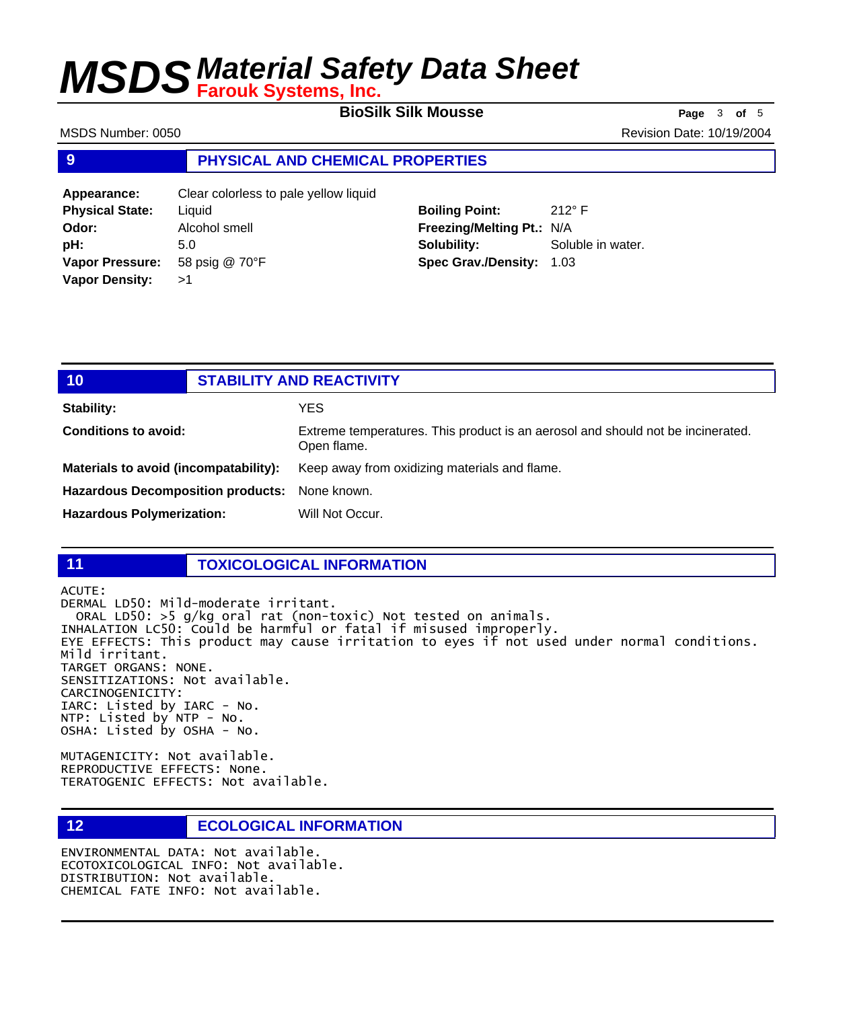**BioSilk Silk Mousse Page** <sup>3</sup> **of** <sup>5</sup>

MSDS Number: 0050 Revision Date: 10/19/2004

**Boiling Point:** 212° F

Soluble in water.

## **9 PHYSICAL AND CHEMICAL PROPERTIES**

| Appearance:            | Clear colorless to pale yellow liquid |                                 |             |
|------------------------|---------------------------------------|---------------------------------|-------------|
| <b>Physical State:</b> | Liauid                                | <b>Boiling Point:</b>           | $212^\circ$ |
| Odor:                  | Alcohol smell                         | Freezing/Melting Pt.: N/A       |             |
| <b>pH:</b>             | 5.0                                   | Solubility:                     | Solu        |
| <b>Vapor Pressure:</b> | 58 psig @ 70°F                        | <b>Spec Grav./Density: 1.03</b> |             |
| <b>Vapor Density:</b>  | >1                                    |                                 |             |

| 10                                       | <b>STABILITY AND REACTIVITY</b> |                                                                                                |
|------------------------------------------|---------------------------------|------------------------------------------------------------------------------------------------|
| <b>Stability:</b>                        |                                 | YES.                                                                                           |
| <b>Conditions to avoid:</b>              |                                 | Extreme temperatures. This product is an aerosol and should not be incinerated.<br>Open flame. |
| Materials to avoid (incompatability):    |                                 | Keep away from oxidizing materials and flame.                                                  |
| <b>Hazardous Decomposition products:</b> |                                 | None known.                                                                                    |
| <b>Hazardous Polymerization:</b>         |                                 | Will Not Occur.                                                                                |

## **11 TOXICOLOGICAL INFORMATION**

ACUTE: DERMAL LD50: Mild-moderate irritant. ORAL LD50: >5 g/kg oral rat (non-toxic) Not tested on animals. INHALATION LC50: Could be harmful or fatal if misused improperly. EYE EFFECTS: This product may cause irritation to eyes if not used under normal conditions. Mild irritant. TARGET ORGANS: NONE. SENSITIZATIONS: Not available. CARCINOGENICITY: IARC: Listed by IARC - No. NTP: Listed by NTP - No. OSHA: Listed by OSHA - No.

MUTAGENICITY: Not available. REPRODUCTIVE EFFECTS: None. TERATOGENIC EFFECTS: Not available.

**12 ECOLOGICAL INFORMATION** 

ENVIRONMENTAL DATA: Not available. ECOTOXICOLOGICAL INFO: Not available. DISTRIBUTION: Not available. CHEMICAL FATE INFO: Not available.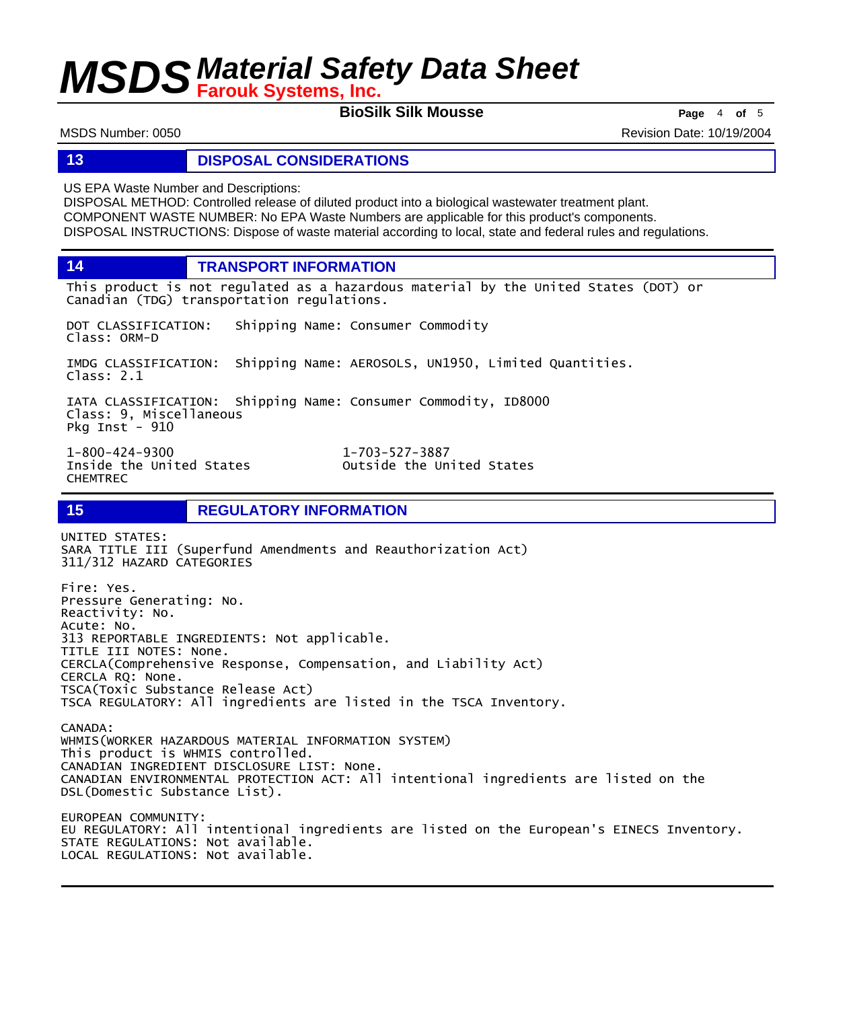**BioSilk Silk Mousse Page** <sup>4</sup> **of** <sup>5</sup>

MSDS Number: 0050 Revision Date: 10/19/2004

### **13 DISPOSAL CONSIDERATIONS**

US EPA Waste Number and Descriptions:

DISPOSAL METHOD: Controlled release of diluted product into a biological wastewater treatment plant. COMPONENT WASTE NUMBER: No EPA Waste Numbers are applicable for this product's components. DISPOSAL INSTRUCTIONS: Dispose of waste material according to local, state and federal rules and regulations.

**14 TRANSPORT INFORMATION**

This product is not regulated as a hazardous material by the United States (DOT) or Canadian (TDG) transportation regulations.

DOT CLASSIFICATION: Shipping Name: Consumer Commodity Class: ORM-D

IMDG CLASSIFICATION: Shipping Name: AEROSOLS, UN1950, Limited Quantities. Class: 2.1

IATA CLASSIFICATION: Shipping Name: Consumer Commodity, ID8000 Class: 9, Miscellaneous Pkg Inst - 910

Inside the United States CHEMTREC

1-800-424-9300 1-703-527-3887

**15 REGULATORY INFORMATION** 

UNITED STATES: SARA TITLE III (Superfund Amendments and Reauthorization Act) 311/312 HAZARD CATEGORIES

Fire: Yes. Pressure Generating: No. Reactivity: No. Acute: No. 313 REPORTABLE INGREDIENTS: Not applicable. TITLE III NOTES: None. CERCLA(Comprehensive Response, Compensation, and Liability Act) CERCLA RQ: None. TSCA(Toxic Substance Release Act) TSCA REGULATORY: All ingredients are listed in the TSCA Inventory. CANADA: WHMIS(WORKER HAZARDOUS MATERIAL INFORMATION SYSTEM) This product is WHMIS controlled. CANADIAN INGREDIENT DISCLOSURE LIST: None. CANADIAN ENVIRONMENTAL PROTECTION ACT: All intentional ingredients are listed on the DSL(Domestic Substance List).

EUROPEAN COMMUNITY: EU REGULATORY: All intentional ingredients are listed on the European's EINECS Inventory. STATE REGULATIONS: Not available. LOCAL REGULATIONS: Not available.